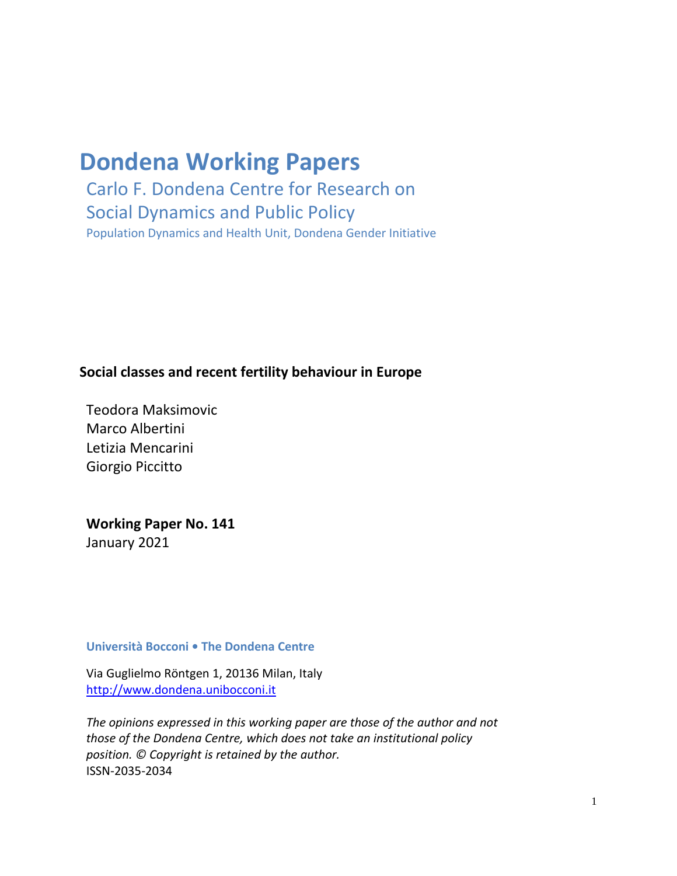# **Dondena Working Papers**

Carlo F. Dondena Centre for Research on Social Dynamics and Public Policy Population Dynamics and Health Unit, Dondena Gender Initiative

## **Social classes and recent fertility behaviour in Europe**

Teodora Maksimovic Marco Albertini Letizia Mencarini Giorgio Piccitto

## **Working Paper No. 141** January 2021

#### **Università Bocconi • The Dondena Centre**

Via Guglielmo Röntgen 1, 20136 Milan, Ital[y](http://www.dondena.unibocconi.it/) [http://www.dondena.unibocconi.it](http://www.dondena.unibocconi.it/)

*The opinions expressed in this working paper are those of the author and not those of the Dondena Centre, which does not take an institutional policy position. © Copyright is retained by the author.* ISSN-2035-2034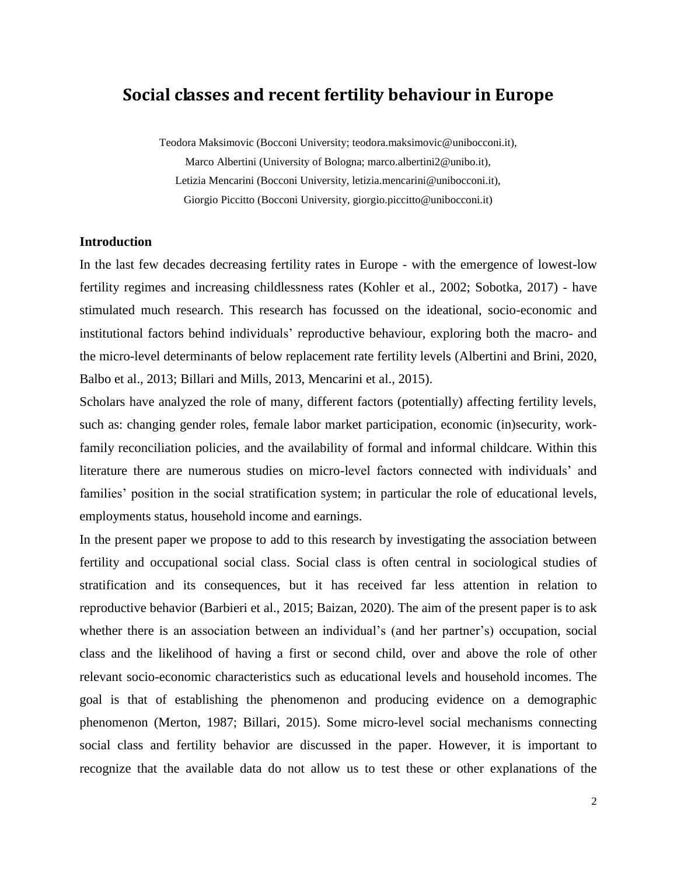## **Social classes and recent fertility behaviour in Europe**

Teodora Maksimovic (Bocconi University; teodora.maksimovic@unibocconi.it), Marco Albertini (University of Bologna; marco.albertini2@unibo.it), Letizia Mencarini (Bocconi University, letizia.mencarini@unibocconi.it), Giorgio Piccitto (Bocconi University, giorgio.piccitto@unibocconi.it)

#### **Introduction**

In the last few decades decreasing fertility rates in Europe - with the emergence of lowest-low fertility regimes and increasing childlessness rates (Kohler et al., 2002; Sobotka, 2017) - have stimulated much research. This research has focussed on the ideational, socio-economic and institutional factors behind individuals' reproductive behaviour, exploring both the macro- and the micro-level determinants of below replacement rate fertility levels (Albertini and Brini, 2020, Balbo et al., 2013; Billari and Mills, 2013, Mencarini et al., 2015).

Scholars have analyzed the role of many, different factors (potentially) affecting fertility levels, such as: changing gender roles, female labor market participation, economic (in)security, workfamily reconciliation policies, and the availability of formal and informal childcare. Within this literature there are numerous studies on micro-level factors connected with individuals' and families' position in the social stratification system; in particular the role of educational levels, employments status, household income and earnings.

In the present paper we propose to add to this research by investigating the association between fertility and occupational social class. Social class is often central in sociological studies of stratification and its consequences, but it has received far less attention in relation to reproductive behavior (Barbieri et al., 2015; Baizan, 2020). The aim of the present paper is to ask whether there is an association between an individual's (and her partner's) occupation, social class and the likelihood of having a first or second child, over and above the role of other relevant socio-economic characteristics such as educational levels and household incomes. The goal is that of establishing the phenomenon and producing evidence on a demographic phenomenon (Merton, 1987; Billari, 2015). Some micro-level social mechanisms connecting social class and fertility behavior are discussed in the paper. However, it is important to recognize that the available data do not allow us to test these or other explanations of the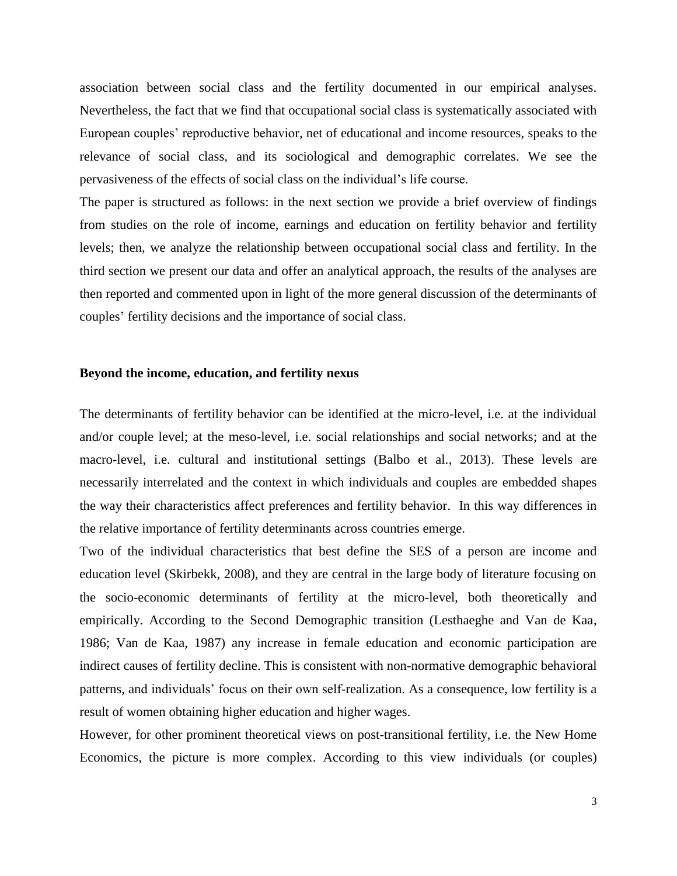association between social class and the fertility documented in our empirical analyses. Nevertheless, the fact that we find that occupational social class is systematically associated with European couples' reproductive behavior, net of educational and income resources, speaks to the relevance of social class, and its sociological and demographic correlates. We see the pervasiveness of the effects of social class on the individual's life course.

The paper is structured as follows: in the next section we provide a brief overview of findings from studies on the role of income, earnings and education on fertility behavior and fertility levels; then, we analyze the relationship between occupational social class and fertility. In the third section we present our data and offer an analytical approach, the results of the analyses are then reported and commented upon in light of the more general discussion of the determinants of couples' fertility decisions and the importance of social class.

#### **Beyond the income, education, and fertility nexus**

The determinants of fertility behavior can be identified at the micro-level, i.e. at the individual and/or couple level; at the meso-level, i.e. social relationships and social networks; and at the macro-level, i.e. cultural and institutional settings (Balbo et al., 2013). These levels are necessarily interrelated and the context in which individuals and couples are embedded shapes the way their characteristics affect preferences and fertility behavior. In this way differences in the relative importance of fertility determinants across countries emerge.

Two of the individual characteristics that best define the SES of a person are income and education level (Skirbekk, 2008), and they are central in the large body of literature focusing on the socio-economic determinants of fertility at the micro-level, both theoretically and empirically. According to the Second Demographic transition (Lesthaeghe and Van de Kaa, 1986; Van de Kaa, 1987) any increase in female education and economic participation are indirect causes of fertility decline. This is consistent with non-normative demographic behavioral patterns, and individuals' focus on their own self-realization. As a consequence, low fertility is a result of women obtaining higher education and higher wages.

However, for other prominent theoretical views on post-transitional fertility, i.e. the New Home Economics, the picture is more complex. According to this view individuals (or couples)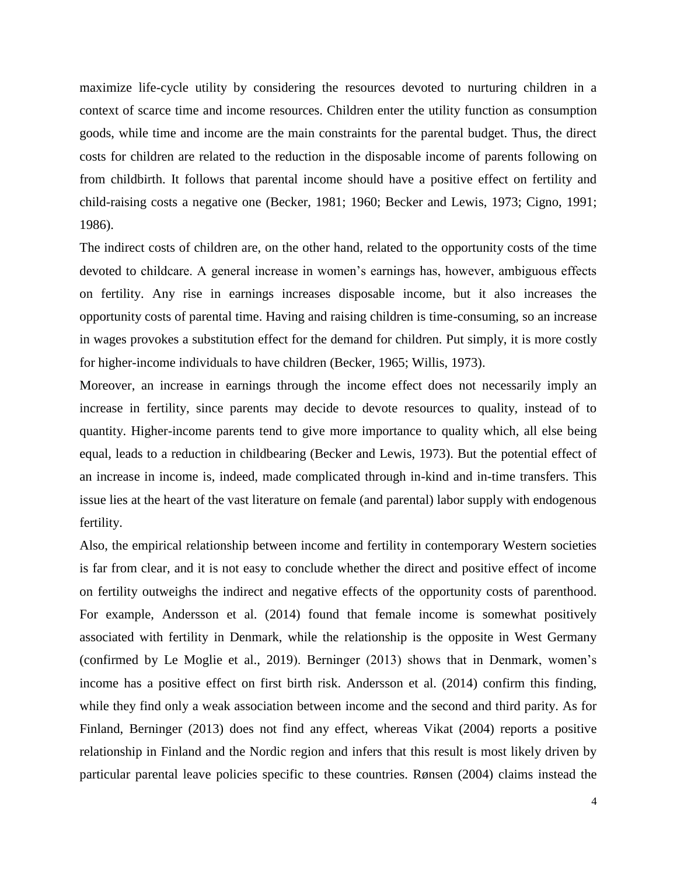maximize life-cycle utility by considering the resources devoted to nurturing children in a context of scarce time and income resources. Children enter the utility function as consumption goods, while time and income are the main constraints for the parental budget. Thus, the direct costs for children are related to the reduction in the disposable income of parents following on from childbirth. It follows that parental income should have a positive effect on fertility and child-raising costs a negative one (Becker, 1981; 1960; Becker and Lewis, 1973; Cigno, 1991; 1986).

The indirect costs of children are, on the other hand, related to the opportunity costs of the time devoted to childcare. A general increase in women's earnings has, however, ambiguous effects on fertility. Any rise in earnings increases disposable income, but it also increases the opportunity costs of parental time. Having and raising children is time-consuming, so an increase in wages provokes a substitution effect for the demand for children. Put simply, it is more costly for higher-income individuals to have children (Becker, 1965; Willis, 1973).

Moreover, an increase in earnings through the income effect does not necessarily imply an increase in fertility, since parents may decide to devote resources to quality, instead of to quantity. Higher-income parents tend to give more importance to quality which, all else being equal, leads to a reduction in childbearing (Becker and Lewis, 1973). But the potential effect of an increase in income is, indeed, made complicated through in-kind and in-time transfers. This issue lies at the heart of the vast literature on female (and parental) labor supply with endogenous fertility.

Also, the empirical relationship between income and fertility in contemporary Western societies is far from clear, and it is not easy to conclude whether the direct and positive effect of income on fertility outweighs the indirect and negative effects of the opportunity costs of parenthood. For example, Andersson et al. (2014) found that female income is somewhat positively associated with fertility in Denmark, while the relationship is the opposite in West Germany (confirmed by Le Moglie et al., 2019). Berninger (2013) shows that in Denmark, women's income has a positive effect on first birth risk. Andersson et al. (2014) confirm this finding, while they find only a weak association between income and the second and third parity. As for Finland, Berninger (2013) does not find any effect, whereas Vikat (2004) reports a positive relationship in Finland and the Nordic region and infers that this result is most likely driven by particular parental leave policies specific to these countries. Rønsen (2004) claims instead the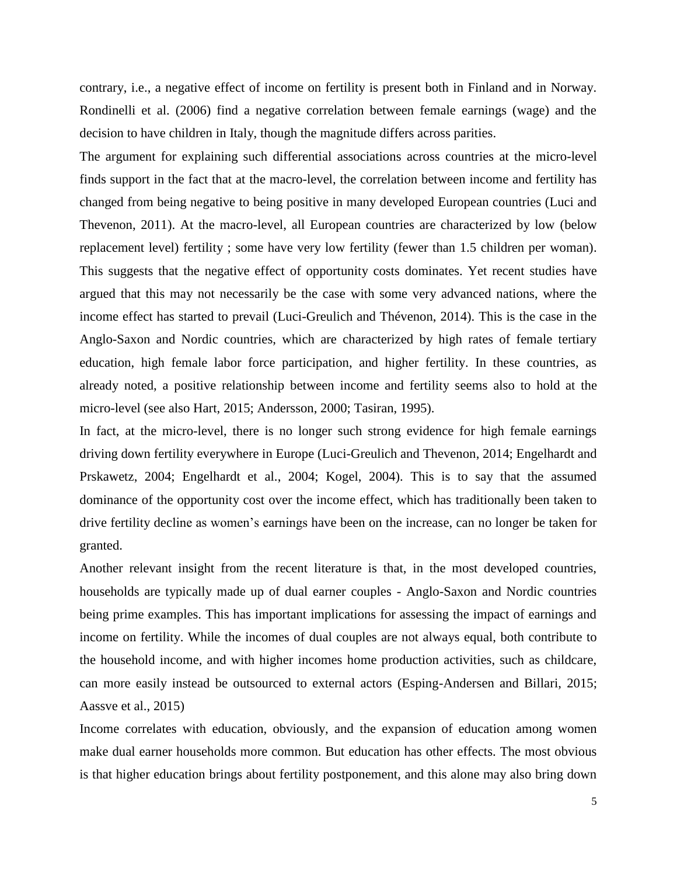contrary, i.e., a negative effect of income on fertility is present both in Finland and in Norway. Rondinelli et al. (2006) find a negative correlation between female earnings (wage) and the decision to have children in Italy, though the magnitude differs across parities.

The argument for explaining such differential associations across countries at the micro-level finds support in the fact that at the macro-level, the correlation between income and fertility has changed from being negative to being positive in many developed European countries (Luci and Thevenon, 2011). At the macro-level, all European countries are characterized by low (below replacement level) fertility ; some have very low fertility (fewer than 1.5 children per woman). This suggests that the negative effect of opportunity costs dominates. Yet recent studies have argued that this may not necessarily be the case with some very advanced nations, where the income effect has started to prevail (Luci-Greulich and Thévenon, 2014). This is the case in the Anglo-Saxon and Nordic countries, which are characterized by high rates of female tertiary education, high female labor force participation, and higher fertility. In these countries, as already noted, a positive relationship between income and fertility seems also to hold at the micro-level (see also Hart, 2015; Andersson, 2000; Tasiran, 1995).

In fact, at the micro-level, there is no longer such strong evidence for high female earnings driving down fertility everywhere in Europe (Luci-Greulich and Thevenon, 2014; Engelhardt and Prskawetz, 2004; Engelhardt et al., 2004; Kogel, 2004). This is to say that the assumed dominance of the opportunity cost over the income effect, which has traditionally been taken to drive fertility decline as women's earnings have been on the increase, can no longer be taken for granted.

Another relevant insight from the recent literature is that, in the most developed countries, households are typically made up of dual earner couples - Anglo-Saxon and Nordic countries being prime examples. This has important implications for assessing the impact of earnings and income on fertility. While the incomes of dual couples are not always equal, both contribute to the household income, and with higher incomes home production activities, such as childcare, can more easily instead be outsourced to external actors (Esping-Andersen and Billari, 2015; Aassve et al., 2015)

Income correlates with education, obviously, and the expansion of education among women make dual earner households more common. But education has other effects. The most obvious is that higher education brings about fertility postponement, and this alone may also bring down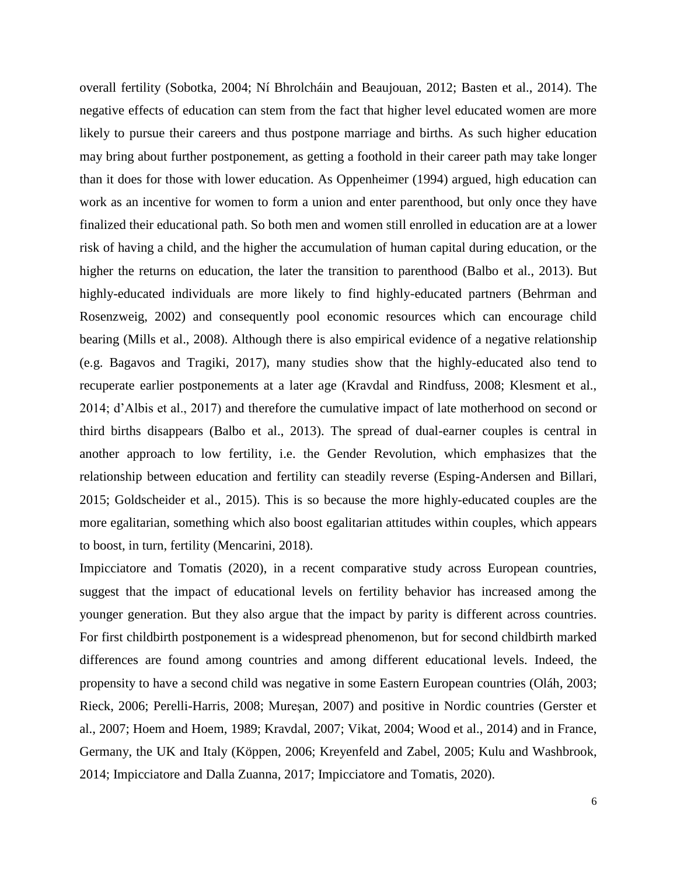overall fertility (Sobotka, 2004; Ní Bhrolcháin and Beaujouan, 2012; Basten et al., 2014). The negative effects of education can stem from the fact that higher level educated women are more likely to pursue their careers and thus postpone marriage and births. As such higher education may bring about further postponement, as getting a foothold in their career path may take longer than it does for those with lower education. As Oppenheimer (1994) argued, high education can work as an incentive for women to form a union and enter parenthood, but only once they have finalized their educational path. So both men and women still enrolled in education are at a lower risk of having a child, and the higher the accumulation of human capital during education, or the higher the returns on education, the later the transition to parenthood (Balbo et al., 2013). But highly-educated individuals are more likely to find highly-educated partners (Behrman and Rosenzweig, 2002) and consequently pool economic resources which can encourage child bearing (Mills et al., 2008). Although there is also empirical evidence of a negative relationship (e.g. Bagavos and Tragiki, 2017), many studies show that the highly-educated also tend to recuperate earlier postponements at a later age (Kravdal and Rindfuss, 2008; Klesment et al., 2014; d'Albis et al., 2017) and therefore the cumulative impact of late motherhood on second or third births disappears (Balbo et al., 2013). The spread of dual-earner couples is central in another approach to low fertility, i.e. the Gender Revolution, which emphasizes that the relationship between education and fertility can steadily reverse (Esping-Andersen and Billari, 2015; Goldscheider et al., 2015). This is so because the more highly-educated couples are the more egalitarian, something which also boost egalitarian attitudes within couples, which appears to boost, in turn, fertility (Mencarini, 2018).

Impicciatore and Tomatis (2020), in a recent comparative study across European countries, suggest that the impact of educational levels on fertility behavior has increased among the younger generation. But they also argue that the impact by parity is different across countries. For first childbirth postponement is a widespread phenomenon, but for second childbirth marked differences are found among countries and among different educational levels. Indeed, the propensity to have a second child was negative in some Eastern European countries (Oláh, 2003; Rieck, 2006; Perelli-Harris, 2008; Mureşan, 2007) and positive in Nordic countries (Gerster et al., 2007; Hoem and Hoem, 1989; Kravdal, 2007; Vikat, 2004; Wood et al., 2014) and in France, Germany, the UK and Italy (Köppen, 2006; Kreyenfeld and Zabel, 2005; Kulu and Washbrook, 2014; Impicciatore and Dalla Zuanna, 2017; Impicciatore and Tomatis, 2020).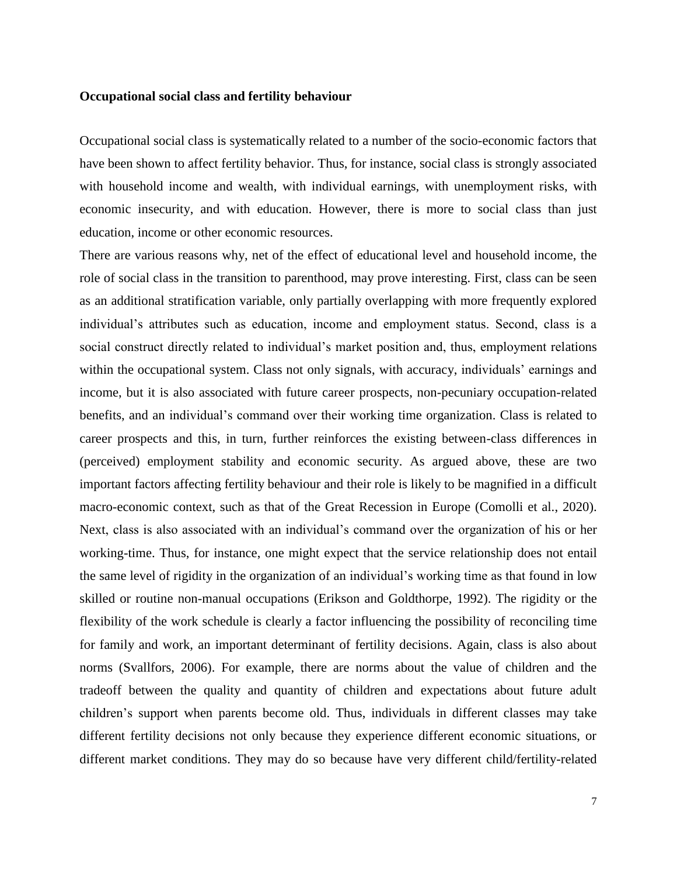#### **Occupational social class and fertility behaviour**

Occupational social class is systematically related to a number of the socio-economic factors that have been shown to affect fertility behavior. Thus, for instance, social class is strongly associated with household income and wealth, with individual earnings, with unemployment risks, with economic insecurity, and with education. However, there is more to social class than just education, income or other economic resources.

There are various reasons why, net of the effect of educational level and household income, the role of social class in the transition to parenthood, may prove interesting. First, class can be seen as an additional stratification variable, only partially overlapping with more frequently explored individual's attributes such as education, income and employment status. Second, class is a social construct directly related to individual's market position and, thus, employment relations within the occupational system. Class not only signals, with accuracy, individuals' earnings and income, but it is also associated with future career prospects, non-pecuniary occupation-related benefits, and an individual's command over their working time organization. Class is related to career prospects and this, in turn, further reinforces the existing between-class differences in (perceived) employment stability and economic security. As argued above, these are two important factors affecting fertility behaviour and their role is likely to be magnified in a difficult macro-economic context, such as that of the Great Recession in Europe (Comolli et al., 2020). Next, class is also associated with an individual's command over the organization of his or her working-time. Thus, for instance, one might expect that the service relationship does not entail the same level of rigidity in the organization of an individual's working time as that found in low skilled or routine non-manual occupations (Erikson and Goldthorpe, 1992). The rigidity or the flexibility of the work schedule is clearly a factor influencing the possibility of reconciling time for family and work, an important determinant of fertility decisions. Again, class is also about norms (Svallfors, 2006). For example, there are norms about the value of children and the tradeoff between the quality and quantity of children and expectations about future adult children's support when parents become old. Thus, individuals in different classes may take different fertility decisions not only because they experience different economic situations, or different market conditions. They may do so because have very different child/fertility-related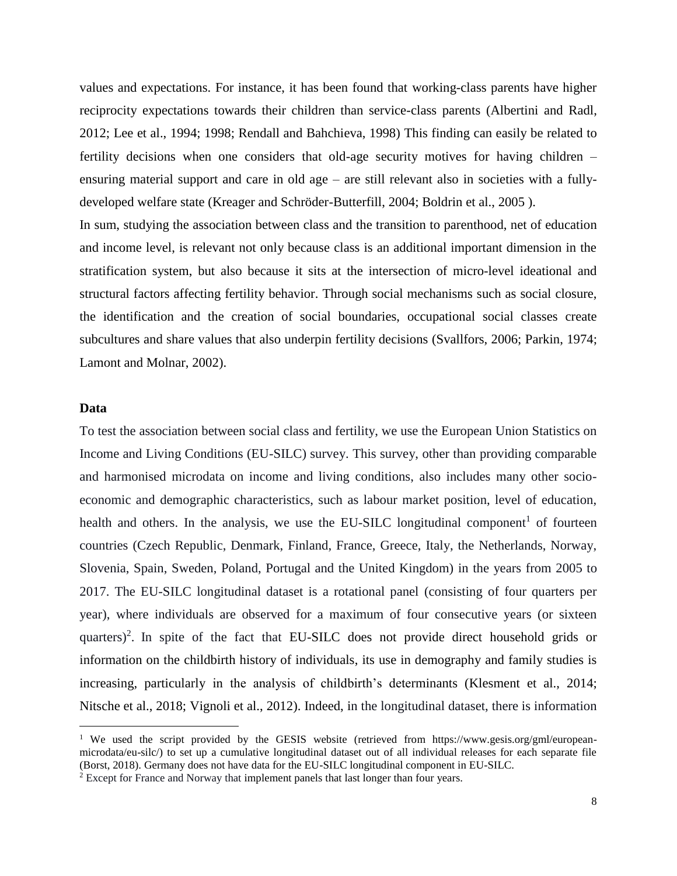values and expectations. For instance, it has been found that working-class parents have higher reciprocity expectations towards their children than service-class parents (Albertini and Radl, 2012; Lee et al., 1994; 1998; Rendall and Bahchieva, 1998) This finding can easily be related to fertility decisions when one considers that old-age security motives for having children – ensuring material support and care in old age – are still relevant also in societies with a fullydeveloped welfare state (Kreager and Schröder-Butterfill, 2004; Boldrin et al., 2005 ). In sum, studying the association between class and the transition to parenthood, net of education

and income level, is relevant not only because class is an additional important dimension in the stratification system, but also because it sits at the intersection of micro-level ideational and structural factors affecting fertility behavior. Through social mechanisms such as social closure, the identification and the creation of social boundaries, occupational social classes create subcultures and share values that also underpin fertility decisions (Svallfors, 2006; Parkin, 1974; Lamont and Molnar, 2002).

#### **Data**

 $\overline{a}$ 

To test the association between social class and fertility, we use the European Union Statistics on Income and Living Conditions (EU-SILC) survey. This survey, other than providing comparable and harmonised microdata on income and living conditions, also includes many other socioeconomic and demographic characteristics, such as labour market position, level of education, health and others. In the analysis, we use the EU-SILC longitudinal component<sup>1</sup> of fourteen countries (Czech Republic, Denmark, Finland, France, Greece, Italy, the Netherlands, Norway, Slovenia, Spain, Sweden, Poland, Portugal and the United Kingdom) in the years from 2005 to 2017. The EU-SILC longitudinal dataset is a rotational panel (consisting of four quarters per year), where individuals are observed for a maximum of four consecutive years (or sixteen quarters)<sup>2</sup>. In spite of the fact that EU-SILC does not provide direct household grids or information on the childbirth history of individuals, its use in demography and family studies is increasing, particularly in the analysis of childbirth's determinants (Klesment et al., 2014; Nitsche et al., 2018; Vignoli et al., 2012). Indeed, in the longitudinal dataset, there is information

<sup>&</sup>lt;sup>1</sup> We used the script provided by the GESIS website (retrieved from https://www.gesis.org/gml/europeanmicrodata/eu-silc/) to set up a cumulative longitudinal dataset out of all individual releases for each separate file (Borst, 2018). Germany does not have data for the EU-SILC longitudinal component in EU-SILC.

<sup>&</sup>lt;sup>2</sup> Except for France and Norway that implement panels that last longer than four years.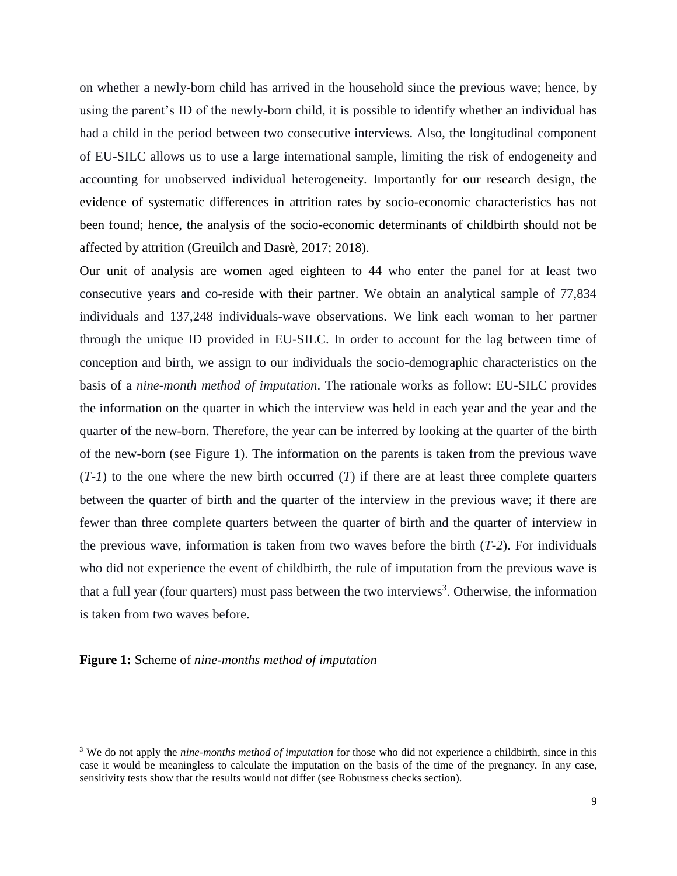on whether a newly-born child has arrived in the household since the previous wave; hence, by using the parent's ID of the newly-born child, it is possible to identify whether an individual has had a child in the period between two consecutive interviews. Also, the longitudinal component of EU-SILC allows us to use a large international sample, limiting the risk of endogeneity and accounting for unobserved individual heterogeneity. Importantly for our research design, the evidence of systematic differences in attrition rates by socio-economic characteristics has not been found; hence, the analysis of the socio-economic determinants of childbirth should not be affected by attrition (Greuilch and Dasrè, 2017; 2018).

Our unit of analysis are women aged eighteen to 44 who enter the panel for at least two consecutive years and co-reside with their partner. We obtain an analytical sample of 77,834 individuals and 137,248 individuals-wave observations. We link each woman to her partner through the unique ID provided in EU-SILC. In order to account for the lag between time of conception and birth, we assign to our individuals the socio-demographic characteristics on the basis of a *nine-month method of imputation*. The rationale works as follow: EU-SILC provides the information on the quarter in which the interview was held in each year and the year and the quarter of the new-born. Therefore, the year can be inferred by looking at the quarter of the birth of the new-born (see Figure 1). The information on the parents is taken from the previous wave  $(T-1)$  to the one where the new birth occurred  $(T)$  if there are at least three complete quarters between the quarter of birth and the quarter of the interview in the previous wave; if there are fewer than three complete quarters between the quarter of birth and the quarter of interview in the previous wave, information is taken from two waves before the birth (*T-2*). For individuals who did not experience the event of childbirth, the rule of imputation from the previous wave is that a full year (four quarters) must pass between the two interviews<sup>3</sup>. Otherwise, the information is taken from two waves before.

**Figure 1:** Scheme of *nine-months method of imputation*

 $\overline{a}$ 

<sup>3</sup> We do not apply the *nine-months method of imputation* for those who did not experience a childbirth, since in this case it would be meaningless to calculate the imputation on the basis of the time of the pregnancy. In any case, sensitivity tests show that the results would not differ (see Robustness checks section).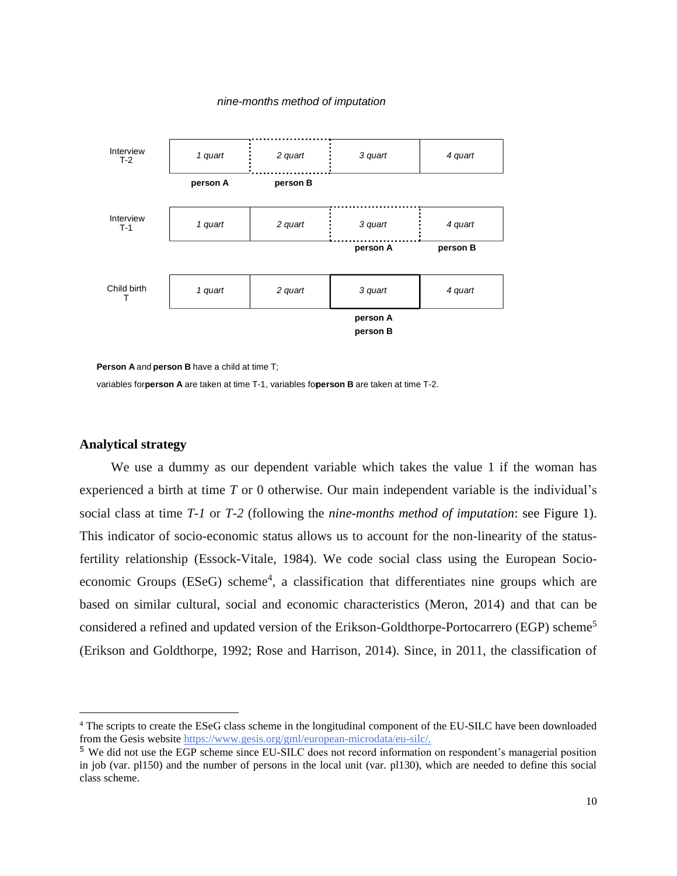#### *nine-months method of imputation*



**Person A** and **person B** have a child at time T;

variables forperson A are taken at time T-1, variables foperson B are taken at time T-2.

#### **Analytical strategy**

 $\overline{a}$ 

We use a dummy as our dependent variable which takes the value 1 if the woman has experienced a birth at time *T* or 0 otherwise. Our main independent variable is the individual's social class at time *T-1* or *T-2* (following the *nine-months method of imputation*: see Figure 1). This indicator of socio-economic status allows us to account for the non-linearity of the statusfertility relationship (Essock-Vitale, 1984). We code social class using the European Socioeconomic Groups (ESeG) scheme<sup>4</sup>, a classification that differentiates nine groups which are based on similar cultural, social and economic characteristics (Meron, 2014) and that can be considered a refined and updated version of the Erikson-Goldthorpe-Portocarrero (EGP) scheme<sup>5</sup> (Erikson and Goldthorpe, 1992; Rose and Harrison, 2014). Since, in 2011, the classification of

<sup>4</sup> The scripts to create the ESeG class scheme in the longitudinal component of the EU-SILC have been downloaded from the Gesis website [https://www.gesis.org/gml/european-microdata/eu-silc/.](https://www.gesis.org/gml/european-microdata/eu-silc/)

<sup>5</sup> We did not use the EGP scheme since EU-SILC does not record information on respondent's managerial position in job (var. pl150) and the number of persons in the local unit (var. pl130), which are needed to define this social class scheme.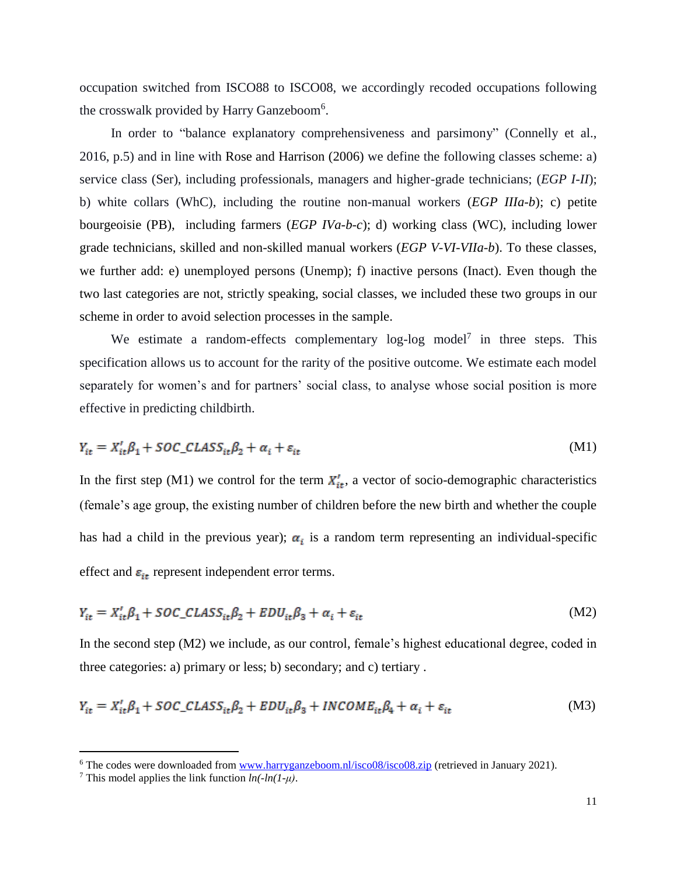occupation switched from ISCO88 to ISCO08, we accordingly recoded occupations following the crosswalk provided by Harry Ganzeboom<sup>6</sup>.

In order to "balance explanatory comprehensiveness and parsimony" (Connelly et al., 2016, p.5) and in line with Rose and Harrison (2006) we define the following classes scheme: a) service class (Ser), including professionals, managers and higher-grade technicians; (*EGP I-II*); b) white collars (WhC), including the routine non-manual workers (*EGP IIIa-b*); c) petite bourgeoisie (PB), including farmers (*EGP IVa-b-c*); d) working class (WC), including lower grade technicians, skilled and non-skilled manual workers (*EGP V-VI-VIIa-b*). To these classes, we further add: e) unemployed persons (Unemp); f) inactive persons (Inact). Even though the two last categories are not, strictly speaking, social classes, we included these two groups in our scheme in order to avoid selection processes in the sample.

We estimate a random-effects complementary  $log-log$  model<sup>7</sup> in three steps. This specification allows us to account for the rarity of the positive outcome. We estimate each model separately for women's and for partners' social class, to analyse whose social position is more effective in predicting childbirth.

$$
Y_{it} = X_{it}'\beta_1 + SOC\_CLASS_{it}\beta_2 + \alpha_i + \varepsilon_{it}
$$
\n(M1)

In the first step (M1) we control for the term  $X'_{it}$ , a vector of socio-demographic characteristics (female's age group, the existing number of children before the new birth and whether the couple has had a child in the previous year);  $\alpha_i$  is a random term representing an individual-specific effect and  $\varepsilon_{it}$  represent independent error terms.

$$
Y_{it} = X_{it}'\beta_1 + SOC\_CLASS_{it}\beta_2 + EDU_{it}\beta_3 + \alpha_i + \varepsilon_{it}
$$
\n(M2)

In the second step (M2) we include, as our control, female's highest educational degree, coded in three categories: a) primary or less; b) secondary; and c) tertiary .

$$
Y_{it} = X_{it}'\beta_1 + SOC\_CLASS_{it}\beta_2 + EDU_{it}\beta_3 + INCOME_{it}\beta_4 + \alpha_i + \varepsilon_{it}
$$
\n(M3)

 $\overline{a}$ 

<sup>&</sup>lt;sup>6</sup> The codes were downloaded from  $\underline{www.harryganzeboom.nl/isco08/isco08.zip}$  $\underline{www.harryganzeboom.nl/isco08/isco08.zip}$  $\underline{www.harryganzeboom.nl/isco08/isco08.zip}$  (retrieved in January 2021).

<sup>&</sup>lt;sup>7</sup> This model applies the link function  $ln(-ln(1-\mu))$ .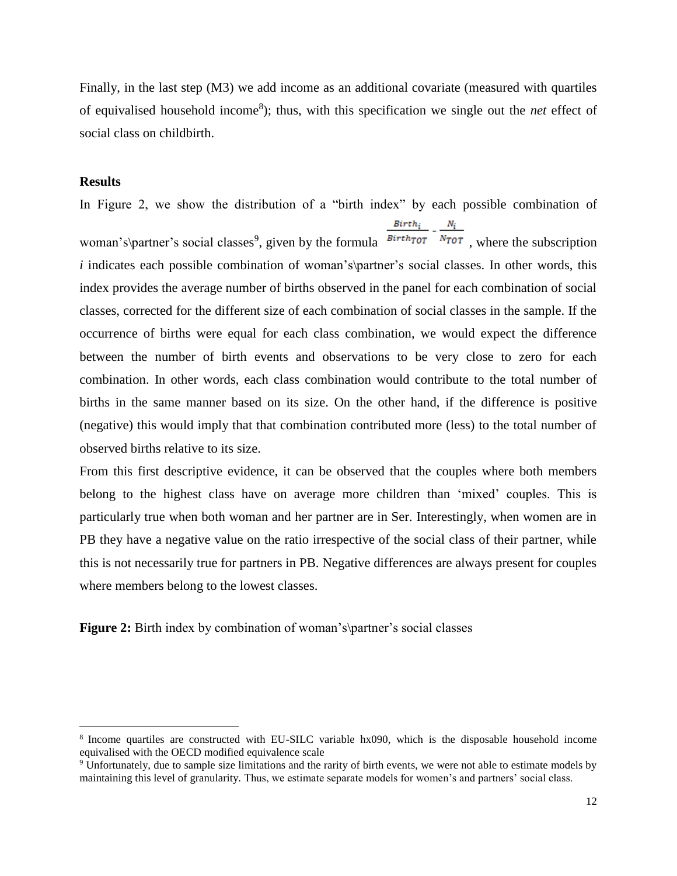Finally, in the last step (M3) we add income as an additional covariate (measured with quartiles of equivalised household income<sup>8</sup>); thus, with this specification we single out the *net* effect of social class on childbirth.

#### **Results**

 $\overline{a}$ 

In Figure 2, we show the distribution of a "birth index" by each possible combination of  $Birth<sub>i</sub>$ woman's\partner's social classes<sup>9</sup>, given by the formula  $\frac{Birth_{\tau} N_{\tau}}{N_{\tau}}$ , where the subscription *i* indicates each possible combination of woman's\partner's social classes. In other words, this index provides the average number of births observed in the panel for each combination of social classes, corrected for the different size of each combination of social classes in the sample. If the occurrence of births were equal for each class combination, we would expect the difference between the number of birth events and observations to be very close to zero for each combination. In other words, each class combination would contribute to the total number of births in the same manner based on its size. On the other hand, if the difference is positive (negative) this would imply that that combination contributed more (less) to the total number of observed births relative to its size.

From this first descriptive evidence, it can be observed that the couples where both members belong to the highest class have on average more children than 'mixed' couples. This is particularly true when both woman and her partner are in Ser. Interestingly, when women are in PB they have a negative value on the ratio irrespective of the social class of their partner, while this is not necessarily true for partners in PB. Negative differences are always present for couples where members belong to the lowest classes.

**Figure 2:** Birth index by combination of woman's\partner's social classes

<sup>8</sup> Income quartiles are constructed with EU-SILC variable hx090, which is the disposable household income equivalised with the OECD modified equivalence scale

<sup>9</sup> Unfortunately, due to sample size limitations and the rarity of birth events, we were not able to estimate models by maintaining this level of granularity. Thus, we estimate separate models for women's and partners' social class.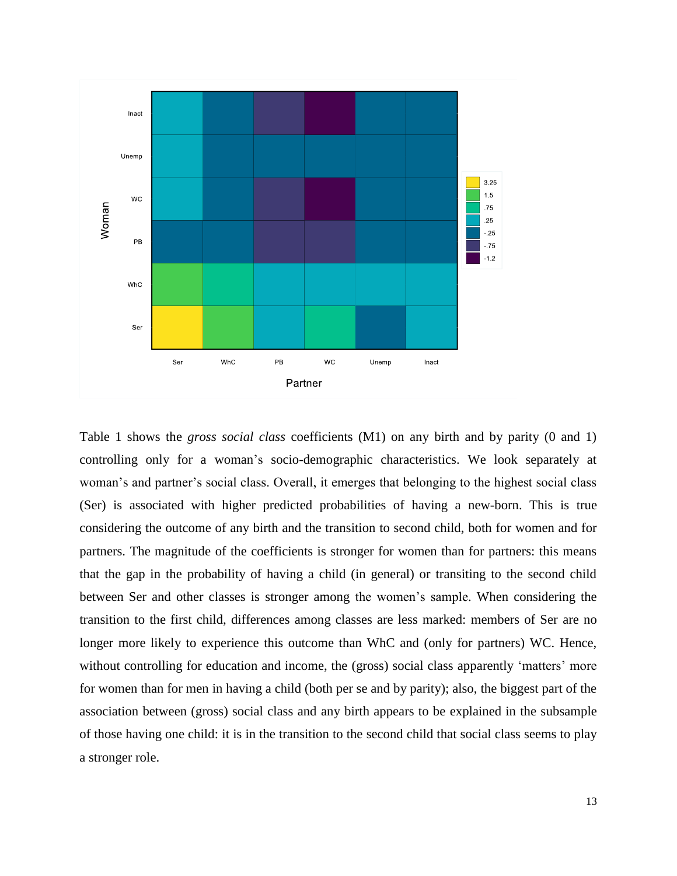

Table 1 shows the *gross social class* coefficients (M1) on any birth and by parity (0 and 1) controlling only for a woman's socio-demographic characteristics. We look separately at woman's and partner's social class. Overall, it emerges that belonging to the highest social class (Ser) is associated with higher predicted probabilities of having a new-born. This is true considering the outcome of any birth and the transition to second child, both for women and for partners. The magnitude of the coefficients is stronger for women than for partners: this means that the gap in the probability of having a child (in general) or transiting to the second child between Ser and other classes is stronger among the women's sample. When considering the transition to the first child, differences among classes are less marked: members of Ser are no longer more likely to experience this outcome than WhC and (only for partners) WC. Hence, without controlling for education and income, the (gross) social class apparently 'matters' more for women than for men in having a child (both per se and by parity); also, the biggest part of the association between (gross) social class and any birth appears to be explained in the subsample of those having one child: it is in the transition to the second child that social class seems to play a stronger role.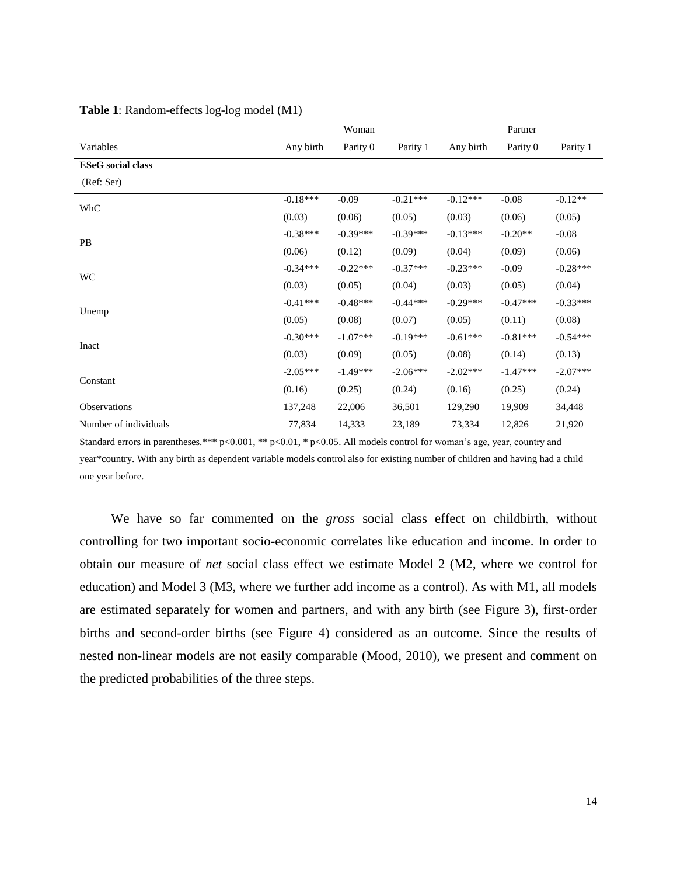|                          | Woman      |            |            | Partner    |            |            |
|--------------------------|------------|------------|------------|------------|------------|------------|
| Variables                | Any birth  | Parity 0   | Parity 1   | Any birth  | Parity 0   | Parity 1   |
| <b>ESeG</b> social class |            |            |            |            |            |            |
| (Ref: Ser)               |            |            |            |            |            |            |
| WhC                      | $-0.18***$ | $-0.09$    | $-0.21***$ | $-0.12***$ | $-0.08$    | $-0.12**$  |
|                          | (0.03)     | (0.06)     | (0.05)     | (0.03)     | (0.06)     | (0.05)     |
| PB                       | $-0.38***$ | $-0.39***$ | $-0.39***$ | $-0.13***$ | $-0.20**$  | $-0.08$    |
|                          | (0.06)     | (0.12)     | (0.09)     | (0.04)     | (0.09)     | (0.06)     |
| <b>WC</b>                | $-0.34***$ | $-0.22***$ | $-0.37***$ | $-0.23***$ | $-0.09$    | $-0.28***$ |
|                          | (0.03)     | (0.05)     | (0.04)     | (0.03)     | (0.05)     | (0.04)     |
| Unemp                    | $-0.41***$ | $-0.48***$ | $-0.44***$ | $-0.29***$ | $-0.47***$ | $-0.33***$ |
|                          | (0.05)     | (0.08)     | (0.07)     | (0.05)     | (0.11)     | (0.08)     |
| Inact                    | $-0.30***$ | $-1.07***$ | $-0.19***$ | $-0.61***$ | $-0.81***$ | $-0.54***$ |
|                          | (0.03)     | (0.09)     | (0.05)     | (0.08)     | (0.14)     | (0.13)     |
| Constant                 | $-2.05***$ | $-1.49***$ | $-2.06***$ | $-2.02***$ | $-1.47***$ | $-2.07***$ |
|                          | (0.16)     | (0.25)     | (0.24)     | (0.16)     | (0.25)     | (0.24)     |
| Observations             | 137,248    | 22,006     | 36,501     | 129,290    | 19,909     | 34,448     |
| Number of individuals    | 77,834     | 14,333     | 23,189     | 73,334     | 12,826     | 21,920     |

#### **Table 1**: Random-effects log-log model (M1)

Standard errors in parentheses.\*\*\* p<0.001, \*\* p<0.01, \* p<0.05. All models control for woman's age, year, country and year\*country. With any birth as dependent variable models control also for existing number of children and having had a child one year before.

We have so far commented on the *gross* social class effect on childbirth, without controlling for two important socio-economic correlates like education and income. In order to obtain our measure of *net* social class effect we estimate Model 2 (M2, where we control for education) and Model 3 (M3, where we further add income as a control). As with M1, all models are estimated separately for women and partners, and with any birth (see Figure 3), first-order births and second-order births (see Figure 4) considered as an outcome. Since the results of nested non-linear models are not easily comparable (Mood, 2010), we present and comment on the predicted probabilities of the three steps.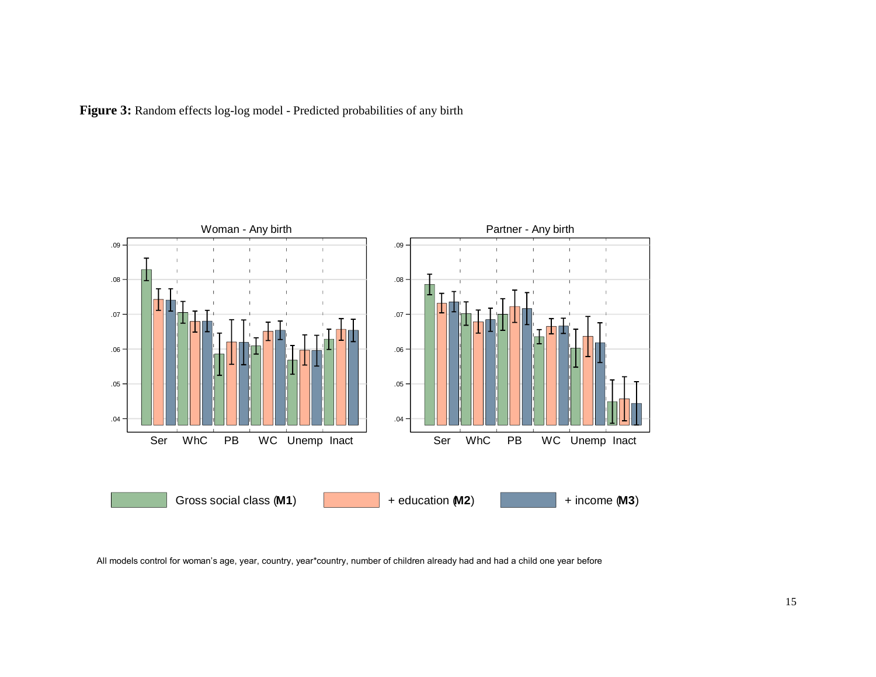Figure 3: Random effects log-log model - Predicted probabilities of any birth



All models control for woman's age, year, country, year\*country, number of children already had and had a child one year before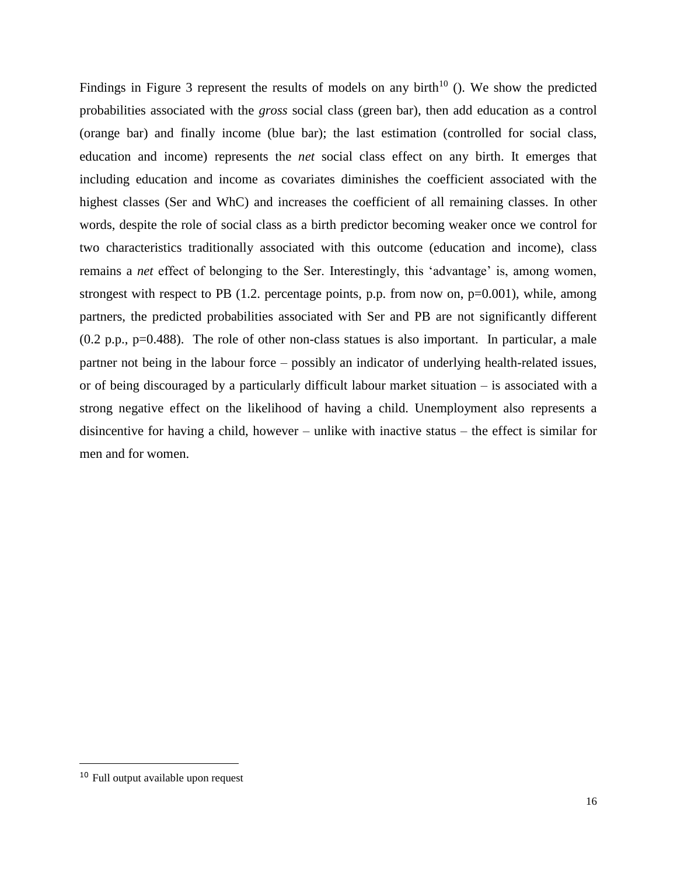Findings in Figure 3 represent the results of models on any birth<sup>10</sup> (). We show the predicted probabilities associated with the *gross* social class (green bar), then add education as a control (orange bar) and finally income (blue bar); the last estimation (controlled for social class, education and income) represents the *net* social class effect on any birth. It emerges that including education and income as covariates diminishes the coefficient associated with the highest classes (Ser and WhC) and increases the coefficient of all remaining classes. In other words, despite the role of social class as a birth predictor becoming weaker once we control for two characteristics traditionally associated with this outcome (education and income), class remains a *net* effect of belonging to the Ser. Interestingly, this 'advantage' is, among women, strongest with respect to PB  $(1.2.$  percentage points, p.p. from now on,  $p=0.001$ ), while, among partners, the predicted probabilities associated with Ser and PB are not significantly different (0.2 p.p., p=0.488). The role of other non-class statues is also important. In particular, a male partner not being in the labour force – possibly an indicator of underlying health-related issues, or of being discouraged by a particularly difficult labour market situation – is associated with a strong negative effect on the likelihood of having a child. Unemployment also represents a disincentive for having a child, however – unlike with inactive status – the effect is similar for men and for women.

 $\overline{a}$ 

<sup>10</sup> Full output available upon request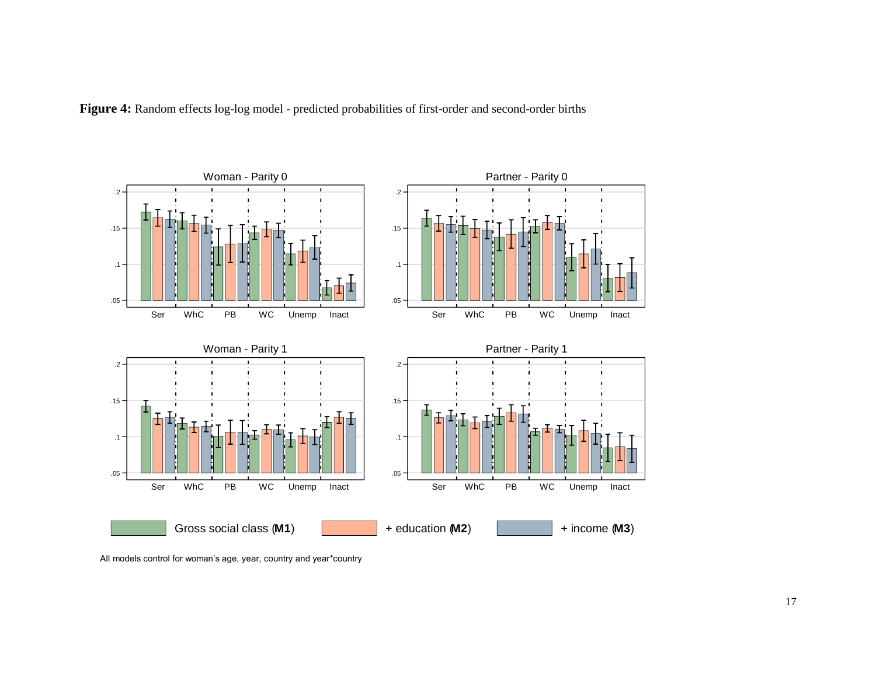



All models control for woman's age, year, country and year\*country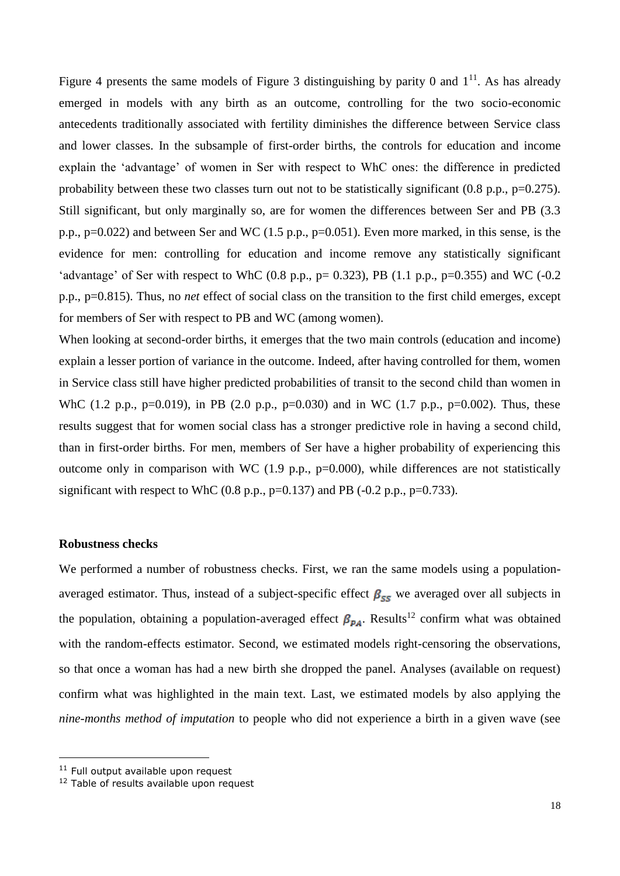Figure 4 presents the same models of Figure 3 distinguishing by parity 0 and  $1<sup>11</sup>$ . As has already emerged in models with any birth as an outcome, controlling for the two socio-economic antecedents traditionally associated with fertility diminishes the difference between Service class and lower classes. In the subsample of first-order births, the controls for education and income explain the 'advantage' of women in Ser with respect to WhC ones: the difference in predicted probability between these two classes turn out not to be statistically significant (0.8 p.p., p=0.275). Still significant, but only marginally so, are for women the differences between Ser and PB (3.3 p.p., p=0.022) and between Ser and WC (1.5 p.p., p=0.051). Even more marked, in this sense, is the evidence for men: controlling for education and income remove any statistically significant 'advantage' of Ser with respect to WhC  $(0.8 \text{ p.p., p= } 0.323)$ , PB  $(1.1 \text{ p.p., p= } 0.355)$  and WC  $(-0.2 \text{ p.p., p= } 0.355)$ p.p., p=0.815). Thus, no *net* effect of social class on the transition to the first child emerges, except for members of Ser with respect to PB and WC (among women).

When looking at second-order births, it emerges that the two main controls (education and income) explain a lesser portion of variance in the outcome. Indeed, after having controlled for them, women in Service class still have higher predicted probabilities of transit to the second child than women in WhC (1.2 p.p., p=0.019), in PB (2.0 p.p., p=0.030) and in WC (1.7 p.p., p=0.002). Thus, these results suggest that for women social class has a stronger predictive role in having a second child, than in first-order births. For men, members of Ser have a higher probability of experiencing this outcome only in comparison with WC  $(1.9 \text{ p.p., p=0.000})$ , while differences are not statistically significant with respect to WhC  $(0.8 \text{ p.p., p=0.137})$  and PB  $(-0.2 \text{ p.p., p=0.733}).$ 

### **Robustness checks**

We performed a number of robustness checks. First, we ran the same models using a populationaveraged estimator. Thus, instead of a subject-specific effect  $\beta_{ss}$  we averaged over all subjects in the population, obtaining a population-averaged effect  $\beta_{PA}$ . Results<sup>12</sup> confirm what was obtained with the random-effects estimator. Second, we estimated models right-censoring the observations, so that once a woman has had a new birth she dropped the panel. Analyses (available on request) confirm what was highlighted in the main text. Last, we estimated models by also applying the *nine-months method of imputation* to people who did not experience a birth in a given wave (see

-

 $11$  Full output available upon request

<sup>&</sup>lt;sup>12</sup> Table of results available upon request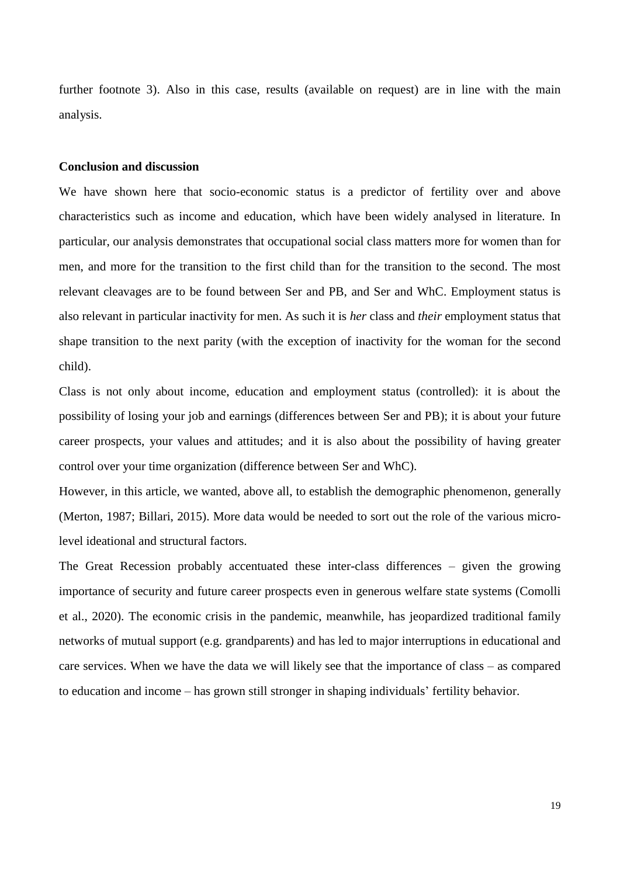further footnote 3). Also in this case, results (available on request) are in line with the main analysis.

#### **Conclusion and discussion**

We have shown here that socio-economic status is a predictor of fertility over and above characteristics such as income and education, which have been widely analysed in literature. In particular, our analysis demonstrates that occupational social class matters more for women than for men, and more for the transition to the first child than for the transition to the second. The most relevant cleavages are to be found between Ser and PB, and Ser and WhC. Employment status is also relevant in particular inactivity for men. As such it is *her* class and *their* employment status that shape transition to the next parity (with the exception of inactivity for the woman for the second child).

Class is not only about income, education and employment status (controlled): it is about the possibility of losing your job and earnings (differences between Ser and PB); it is about your future career prospects, your values and attitudes; and it is also about the possibility of having greater control over your time organization (difference between Ser and WhC).

However, in this article, we wanted, above all, to establish the demographic phenomenon, generally (Merton, 1987; Billari, 2015). More data would be needed to sort out the role of the various microlevel ideational and structural factors.

The Great Recession probably accentuated these inter-class differences – given the growing importance of security and future career prospects even in generous welfare state systems (Comolli et al., 2020). The economic crisis in the pandemic, meanwhile, has jeopardized traditional family networks of mutual support (e.g. grandparents) and has led to major interruptions in educational and care services. When we have the data we will likely see that the importance of class – as compared to education and income – has grown still stronger in shaping individuals' fertility behavior.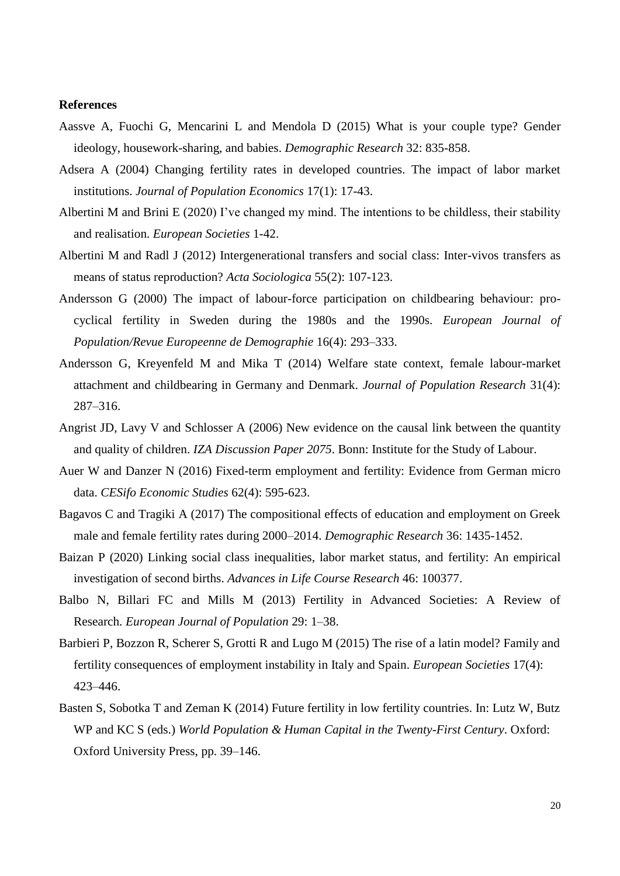#### **References**

- Aassve A, Fuochi G, Mencarini L and Mendola D (2015) What is your couple type? Gender ideology, housework-sharing, and babies. *Demographic Research* 32: 835-858.
- Adsera A (2004) Changing fertility rates in developed countries. The impact of labor market institutions. *Journal of Population Economics* 17(1): 17-43.
- Albertini M and Brini E (2020) I've changed my mind. The intentions to be childless, their stability and realisation. *European Societies* 1-42.
- Albertini M and Radl J (2012) Intergenerational transfers and social class: Inter-vivos transfers as means of status reproduction? *Acta Sociologica* 55(2): 107-123.
- Andersson G (2000) The impact of labour-force participation on childbearing behaviour: procyclical fertility in Sweden during the 1980s and the 1990s. *European Journal of Population/Revue Europeenne de Demographie* 16(4): 293–333.
- Andersson G, Kreyenfeld M and Mika T (2014) Welfare state context, female labour-market attachment and childbearing in Germany and Denmark. *Journal of Population Research* 31(4): 287–316.
- Angrist JD, Lavy V and Schlosser A (2006) New evidence on the causal link between the quantity and quality of children. *IZA Discussion Paper 2075*. Bonn: Institute for the Study of Labour.
- Auer W and Danzer N (2016) Fixed-term employment and fertility: Evidence from German micro data. *CESifo Economic Studies* 62(4): 595-623.
- Bagavos C and Tragiki A (2017) The compositional effects of education and employment on Greek male and female fertility rates during 2000–2014. *Demographic Research* 36: 1435-1452.
- Baizan P (2020) Linking social class inequalities, labor market status, and fertility: An empirical investigation of second births. *Advances in Life Course Research* 46: 100377.
- Balbo N, Billari FC and Mills M (2013) Fertility in Advanced Societies: A Review of Research. *European Journal of Population* 29: 1–38.
- Barbieri P, Bozzon R, Scherer S, Grotti R and Lugo M (2015) The rise of a latin model? Family and fertility consequences of employment instability in Italy and Spain. *European Societies* 17(4): 423–446.
- Basten S, Sobotka T and Zeman K (2014) Future fertility in low fertility countries. In: Lutz W, Butz WP and KC S (eds.) *World Population & Human Capital in the Twenty-First Century*. Oxford: Oxford University Press, pp. 39–146.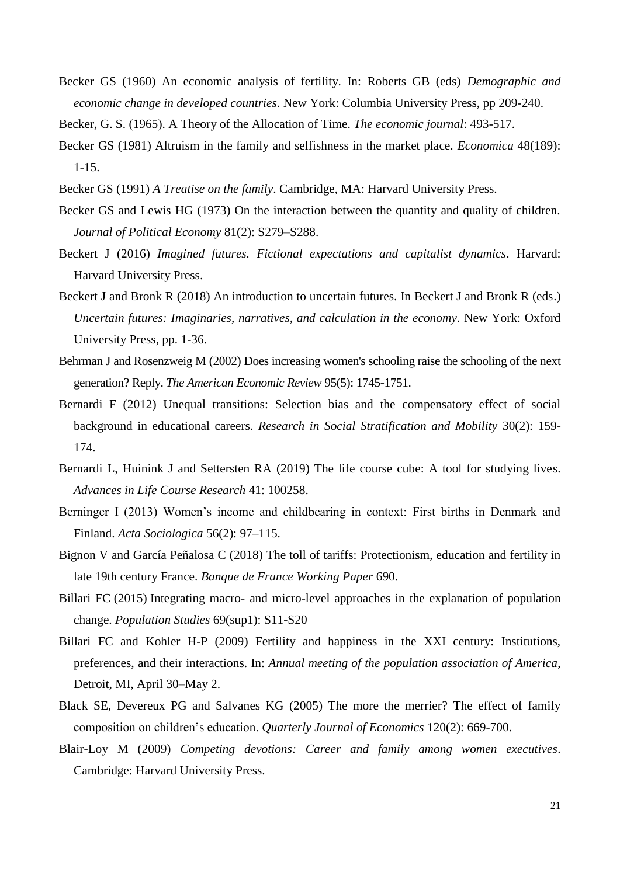Becker GS (1960) An economic analysis of fertility. In: Roberts GB (eds) *Demographic and economic change in developed countries*. New York: Columbia University Press, pp 209-240.

Becker, G. S. (1965). A Theory of the Allocation of Time. *The economic journal*: 493-517.

- Becker GS (1981) Altruism in the family and selfishness in the market place. *Economica* 48(189): 1-15.
- Becker GS (1991) *A Treatise on the family*. Cambridge, MA: Harvard University Press.
- Becker GS and Lewis HG (1973) On the interaction between the quantity and quality of children. *Journal of Political Economy* 81(2): S279–S288.
- Beckert J (2016) *Imagined futures. Fictional expectations and capitalist dynamics*. Harvard: Harvard University Press.
- Beckert J and Bronk R (2018) An introduction to uncertain futures. In Beckert J and Bronk R (eds.) *Uncertain futures: Imaginaries, narratives, and calculation in the economy*. New York: Oxford University Press, pp. 1-36.
- Behrman J and Rosenzweig M (2002) Does increasing women's schooling raise the schooling of the next generation? Reply. *The American Economic Review* 95(5): 1745-1751.
- Bernardi F (2012) Unequal transitions: Selection bias and the compensatory effect of social background in educational careers. *Research in Social Stratification and Mobility* 30(2): 159- 174.
- Bernardi L, Huinink J and Settersten RA (2019) The life course cube: A tool for studying lives. *Advances in Life Course Research* 41: 100258.
- Berninger I (2013) Women's income and childbearing in context: First births in Denmark and Finland. *Acta Sociologica* 56(2): 97–115.
- Bignon V and García Peñalosa C (2018) The toll of tariffs: Protectionism, education and fertility in late 19th century France. *Banque de France Working Paper* 690.
- Billari FC (2015) Integrating macro- and micro-level approaches in the explanation of population change. *Population Studies* 69(sup1): S11-S20
- Billari FC and Kohler H-P (2009) Fertility and happiness in the XXI century: Institutions, preferences, and their interactions. In: *Annual meeting of the population association of America*, Detroit, MI, April 30–May 2.
- Black SE, Devereux PG and Salvanes KG (2005) The more the merrier? The effect of family composition on children's education. *Quarterly Journal of Economics* 120(2): 669-700.
- Blair-Loy M (2009) *Competing devotions: Career and family among women executives*. Cambridge: Harvard University Press.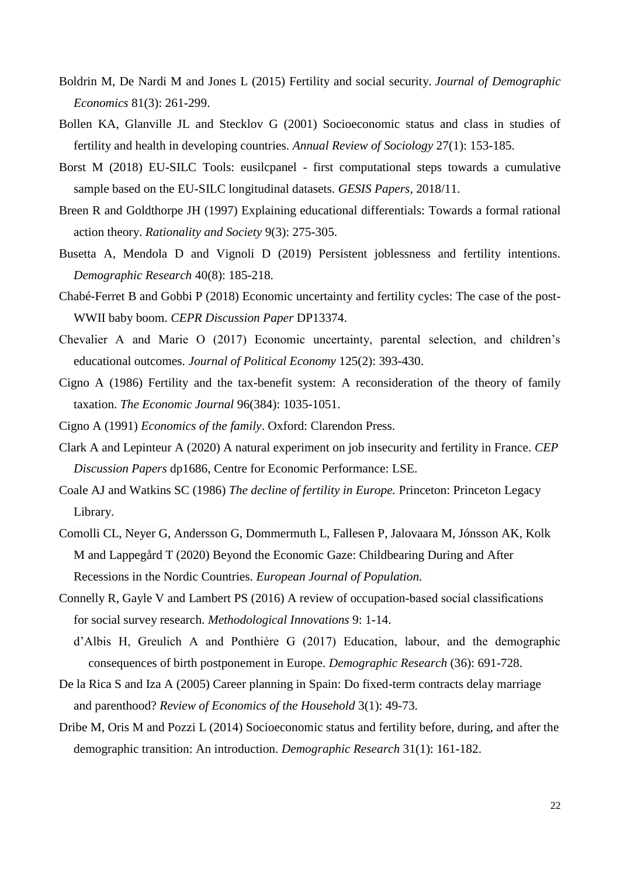- Boldrin M, De Nardi M and Jones L (2015) Fertility and social security. *Journal of Demographic Economics* 81(3): 261-299.
- Bollen KA, Glanville JL and Stecklov G (2001) Socioeconomic status and class in studies of fertility and health in developing countries. *Annual Review of Sociology* 27(1): 153-185.
- Borst M (2018) EU-SILC Tools: eusilcpanel first computational steps towards a cumulative sample based on the EU-SILC longitudinal datasets. *GESIS Papers,* 2018/11.
- Breen R and Goldthorpe JH (1997) Explaining educational differentials: Towards a formal rational action theory. *Rationality and Society* 9(3): 275-305.
- Busetta A, Mendola D and Vignoli D (2019) Persistent joblessness and fertility intentions. *Demographic Research* 40(8): 185-218.
- Chabé-Ferret B and Gobbi P (2018) Economic uncertainty and fertility cycles: The case of the post-WWII baby boom. *CEPR Discussion Paper* DP13374.
- Chevalier A and Marie O (2017) Economic uncertainty, parental selection, and children's educational outcomes. *Journal of Political Economy* 125(2): 393-430.
- Cigno A (1986) Fertility and the tax-benefit system: A reconsideration of the theory of family taxation. *The Economic Journal* 96(384): 1035-1051.
- Cigno A (1991) *Economics of the family*. Oxford: Clarendon Press.
- Clark A and Lepinteur A (2020) A natural experiment on job insecurity and fertility in France. *CEP Discussion Papers* dp1686, Centre for Economic Performance: LSE.
- Coale AJ and Watkins SC (1986) *The decline of fertility in Europe.* Princeton: Princeton Legacy Library.
- Comolli CL, Neyer G, Andersson G, Dommermuth L, Fallesen P, Jalovaara M, Jónsson AK, Kolk M and Lappegård T (2020) Beyond the Economic Gaze: Childbearing During and After Recessions in the Nordic Countries. *European Journal of Population.*
- Connelly R, Gayle V and Lambert PS (2016) A review of occupation-based social classifications for social survey research. *Methodological Innovations* 9: 1-14.
	- d'Albis H, Greulich A and Ponthière G (2017) Education, labour, and the demographic consequences of birth postponement in Europe. *Demographic Research* (36): 691-728.
- De la Rica S and Iza A (2005) Career planning in Spain: Do fixed-term contracts delay marriage and parenthood? *Review of Economics of the Household* 3(1): 49-73.
- Dribe M, Oris M and Pozzi L (2014) Socioeconomic status and fertility before, during, and after the demographic transition: An introduction. *Demographic Research* 31(1): 161-182.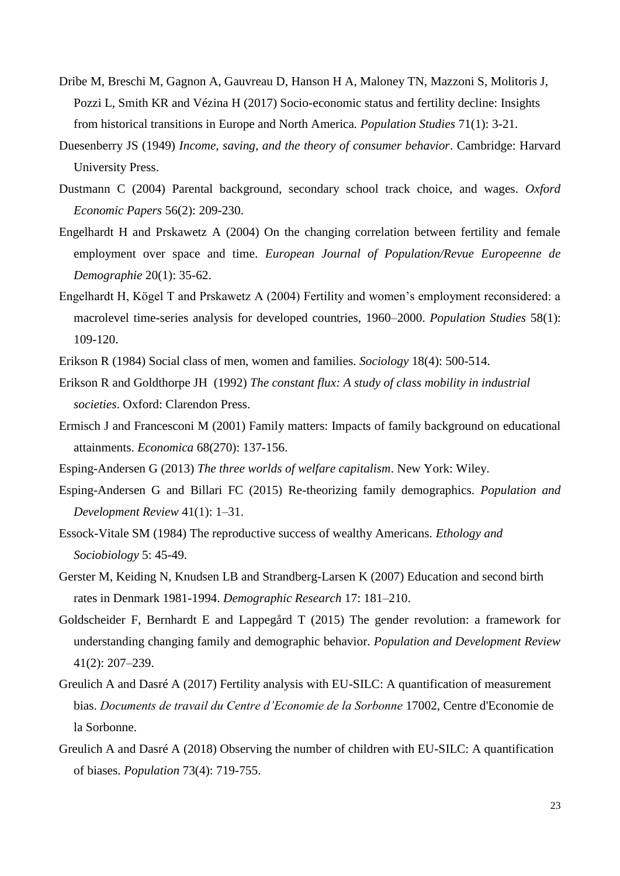- Dribe M, Breschi M, Gagnon A, Gauvreau D, Hanson H A, Maloney TN, Mazzoni S, Molitoris J, Pozzi L, Smith KR and Vézina H (2017) Socio-economic status and fertility decline: Insights from historical transitions in Europe and North America*. Population Studies* 71(1): 3-21.
- Duesenberry JS (1949) *Income, saving, and the theory of consumer behavior*. Cambridge: Harvard University Press.
- Dustmann C (2004) Parental background, secondary school track choice, and wages. *Oxford Economic Papers* 56(2): 209-230.
- Engelhardt H and Prskawetz A (2004) On the changing correlation between fertility and female employment over space and time. *European Journal of Population/Revue Europeenne de Demographie* 20(1): 35-62.
- Engelhardt H, Kögel T and Prskawetz A (2004) Fertility and women's employment reconsidered: a macrolevel time-series analysis for developed countries, 1960–2000. *Population Studies* 58(1): 109-120.
- Erikson R (1984) Social class of men, women and families. *Sociology* 18(4): 500-514.
- Erikson R and Goldthorpe JH (1992) *The constant flux: A study of class mobility in industrial societies*. Oxford: Clarendon Press.
- Ermisch J and Francesconi M (2001) Family matters: Impacts of family background on educational attainments. *Economica* 68(270): 137-156.
- Esping-Andersen G (2013) *The three worlds of welfare capitalism*. New York: Wiley.
- Esping-Andersen G and Billari FC (2015) Re-theorizing family demographics. *Population and Development Review* 41(1): 1–31.
- Essock-Vitale SM (1984) The reproductive success of wealthy Americans. *Ethology and Sociobiology* 5: 45-49.
- Gerster M, Keiding N, Knudsen LB and Strandberg-Larsen K (2007) Education and second birth rates in Denmark 1981-1994. *Demographic Research* 17: 181–210.
- Goldscheider F, Bernhardt E and [Lappegård](https://onlinelibrary.wiley.com/action/doSearch?ContribAuthorStored=Lappeg%C3%A5rd%2C+Trude) T (2015) The gender revolution: a framework for understanding changing family and demographic behavior. *Population and Development Review* 41(2): 207–239.
- Greulich A and Dasré A (2017) Fertility analysis with EU-SILC: A quantification of measurement bias. *Documents de travail du Centre d'Economie de la Sorbonne* 17002, Centre d'Economie de la Sorbonne.
- Greulich A and Dasré A (2018) Observing the number of children with EU-SILC: A quantification of biases. *Population* 73(4): 719-755.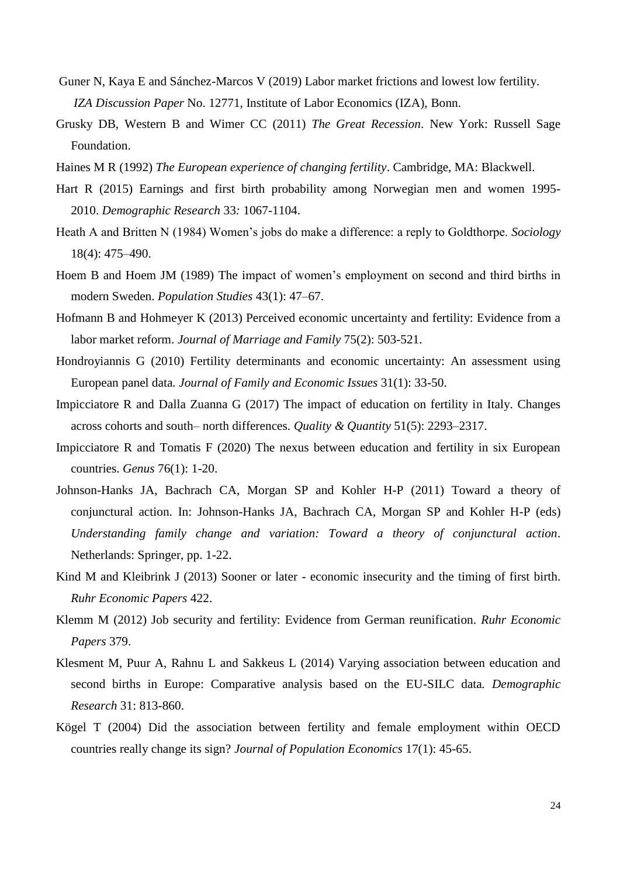- Guner N, Kaya E and Sánchez-Marcos V (2019) Labor market frictions and lowest low fertility. *IZA Discussion Paper* No. 12771, Institute of Labor Economics (IZA), Bonn.
- Grusky DB, Western B and Wimer CC (2011) *The Great Recession*. New York: Russell Sage Foundation.
- Haines M R (1992) *The European experience of changing fertility*. Cambridge, MA: Blackwell.
- Hart R (2015) Earnings and first birth probability among Norwegian men and women 1995- 2010. *Demographic Research* 33*:* 1067-1104.
- Heath A and Britten N (1984) Women's jobs do make a difference: a reply to Goldthorpe. *Sociology* 18(4): 475–490.
- Hoem B and Hoem JM (1989) The impact of women's employment on second and third births in modern Sweden. *Population Studies* 43(1): 47–67.
- Hofmann B and Hohmeyer K (2013) Perceived economic uncertainty and fertility: Evidence from a labor market reform. *Journal of Marriage and Family* 75(2): 503-521.
- Hondroyiannis G (2010) Fertility determinants and economic uncertainty: An assessment using European panel data*. Journal of Family and Economic Issues* 31(1): 33-50.
- Impicciatore R and Dalla Zuanna G (2017) The impact of education on fertility in Italy. Changes across cohorts and south– north differences. *Quality & Quantity* 51(5): 2293–2317.
- Impicciatore R and Tomatis F (2020) The nexus between education and fertility in six European countries. *Genus* 76(1): 1-20.
- Johnson-Hanks JA, Bachrach CA, Morgan SP and Kohler H-P (2011) Toward a theory of conjunctural action. In: Johnson-Hanks JA, Bachrach CA, Morgan SP and Kohler H-P (eds) *Understanding family change and variation: Toward a theory of conjunctural action*. Netherlands: Springer, pp. 1-22.
- Kind M and Kleibrink J (2013) Sooner or later economic insecurity and the timing of first birth. *Ruhr Economic Papers* 422.
- Klemm M (2012) Job security and fertility: Evidence from German reunification. *Ruhr Economic Papers* 379.
- Klesment M, Puur A, Rahnu L and Sakkeus L (2014) Varying association between education and second births in Europe: Comparative analysis based on the EU-SILC data*. Demographic Research* 31: 813-860.
- Kögel T (2004) Did the association between fertility and female employment within OECD countries really change its sign? *Journal of Population Economics* 17(1): 45-65.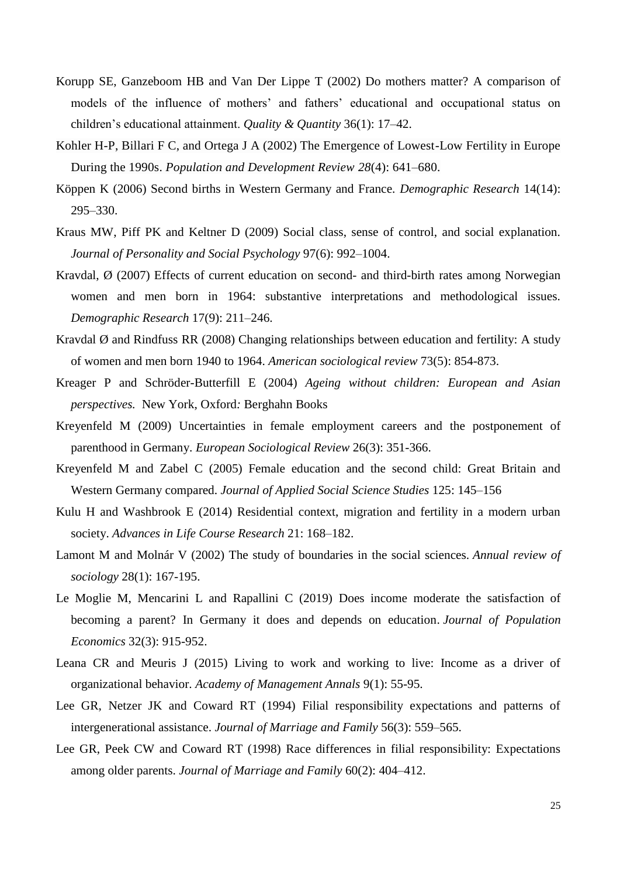- Korupp SE, Ganzeboom HB and Van Der Lippe T (2002) Do mothers matter? A comparison of models of the influence of mothers' and fathers' educational and occupational status on children's educational attainment. *Quality & Quantity* 36(1): 17–42.
- Kohler H-P, Billari F C, and Ortega J A (2002) The Emergence of Lowest-Low Fertility in Europe During the 1990s. *Population and Development Review 28*(4): 641–680.
- Köppen K (2006) Second births in Western Germany and France. *Demographic Research* 14(14): 295–330.
- Kraus MW, Piff PK and Keltner D (2009) Social class, sense of control, and social explanation. *Journal of Personality and Social Psychology* 97(6): 992–1004.
- Kravdal, Ø (2007) Effects of current education on second- and third-birth rates among Norwegian women and men born in 1964: substantive interpretations and methodological issues. *Demographic Research* 17(9): 211–246.
- Kravdal Ø and Rindfuss RR (2008) Changing relationships between education and fertility: A study of women and men born 1940 to 1964. *American sociological review* 73(5): 854-873.
- Kreager P and Schröder-Butterfill E (2004) *Ageing without children: European and Asian perspectives.* New York, Oxford*:* Berghahn Books
- Kreyenfeld M (2009) Uncertainties in female employment careers and the postponement of parenthood in Germany. *European Sociological Review* 26(3): 351-366.
- Kreyenfeld M and Zabel C (2005) Female education and the second child: Great Britain and Western Germany compared. *[Journal of Applied Social Science Studies](https://ideas.repec.org/s/aeq/aeqsjb.html)* 125: 145–156
- Kulu H and Washbrook E (2014) Residential context, migration and fertility in a modern urban society. *Advances in Life Course Research* 21: 168–182.
- Lamont M and Molnár V (2002) The study of boundaries in the social sciences. *Annual review of sociology* 28(1): 167-195.
- Le Moglie M, Mencarini L and Rapallini C (2019) [Does income moderate the satisfaction of](https://ideas.repec.org/a/spr/jopoec/v32y2019i3d10.1007_s00148-018-0689-9.html)  [becoming a parent? In Germany it does and depends on education.](https://ideas.repec.org/a/spr/jopoec/v32y2019i3d10.1007_s00148-018-0689-9.html) *[Journal of Population](https://ideas.repec.org/s/spr/jopoec.html)  [Economics](https://ideas.repec.org/s/spr/jopoec.html)* 32(3): 915-952.
- Leana CR and Meuris J (2015) Living to work and working to live: Income as a driver of organizational behavior. *Academy of Management Annals* 9(1): 55-95.
- Lee GR, Netzer JK and Coward RT (1994) Filial responsibility expectations and patterns of intergenerational assistance. *Journal of Marriage and Family* 56(3): 559–565.
- Lee GR, Peek CW and Coward RT (1998) Race differences in filial responsibility: Expectations among older parents. *Journal of Marriage and Family* 60(2): 404–412.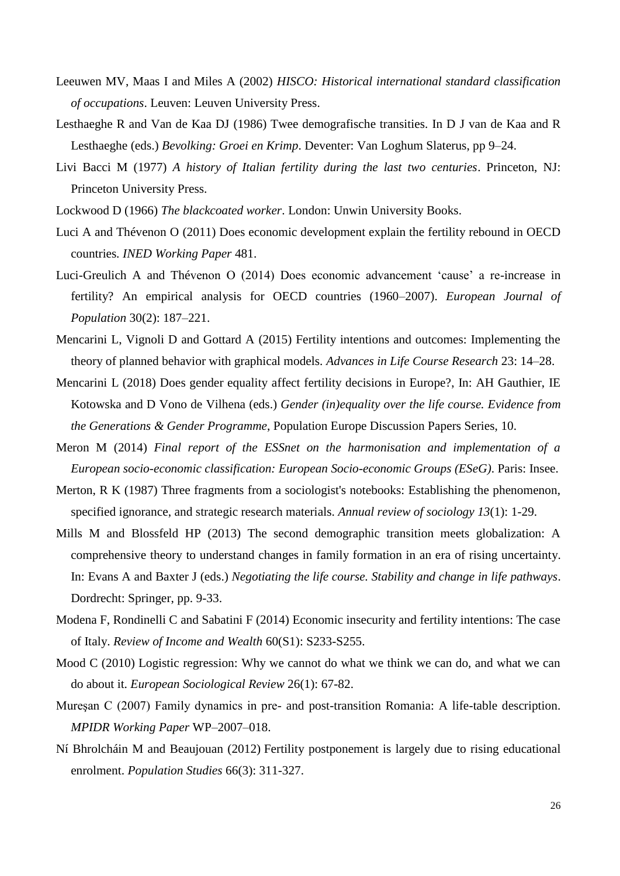- Leeuwen MV, Maas I and Miles A (2002) *HISCO: Historical international standard classification of occupations*. Leuven: Leuven University Press.
- Lesthaeghe R and Van de Kaa DJ (1986) Twee demografische transities. In D J van de Kaa and R Lesthaeghe (eds.) *Bevolking: Groei en Krimp*. Deventer: Van Loghum Slaterus, pp 9–24.
- Livi Bacci M (1977) *A history of Italian fertility during the last two centuries*. Princeton, NJ: Princeton University Press.
- Lockwood D (1966) *The blackcoated worker*. London: Unwin University Books.
- Luci A and Thévenon O (2011) Does economic development explain the fertility rebound in OECD countries*. INED Working Paper* 481.
- Luci-Greulich A and Thévenon O (2014) Does economic advancement 'cause' a re-increase in fertility? An empirical analysis for OECD countries (1960–2007). *European Journal of Population* 30(2): 187–221.
- Mencarini L, Vignoli D and Gottard A (2015) Fertility intentions and outcomes: Implementing the theory of planned behavior with graphical models. *Advances in Life Course Research* 23: 14–28.
- Mencarini L (2018) Does gender equality affect fertility decisions in Europe?, In: AH Gauthier, IE Kotowska and D Vono de Vilhena (eds.) *Gender (in)equality over the life course. Evidence from the Generations & Gender Programme*, Population Europe Discussion Papers Series, 10.
- Meron M (2014) *Final report of the ESSnet on the harmonisation and implementation of a European socio-economic classification: European Socio-economic Groups (ESeG)*. Paris: Insee.
- Merton, R K (1987) Three fragments from a sociologist's notebooks: Establishing the phenomenon, specified ignorance, and strategic research materials. *Annual review of sociology 13*(1): 1-29.
- Mills M and Blossfeld HP (2013) The second demographic transition meets globalization: A comprehensive theory to understand changes in family formation in an era of rising uncertainty. In: Evans A and Baxter J (eds.) *Negotiating the life course. Stability and change in life pathways*. Dordrecht: Springer, pp. 9-33.
- Modena F, Rondinelli C and Sabatini F (2014) Economic insecurity and fertility intentions: The case of Italy. *Review of Income and Wealth* 60(S1): S233-S255.
- Mood C (2010) Logistic regression: Why we cannot do what we think we can do, and what we can do about it. *European Sociological Review* 26(1): 67-82.
- Mureşan C (2007) Family dynamics in pre- and post-transition Romania: A life-table description. *MPIDR Working Paper* WP–2007–018.
- Ní Bhrolcháin M and Beaujouan (2012) Fertility postponement is largely due to rising educational enrolment. *Population Studies* 66(3): 311-327.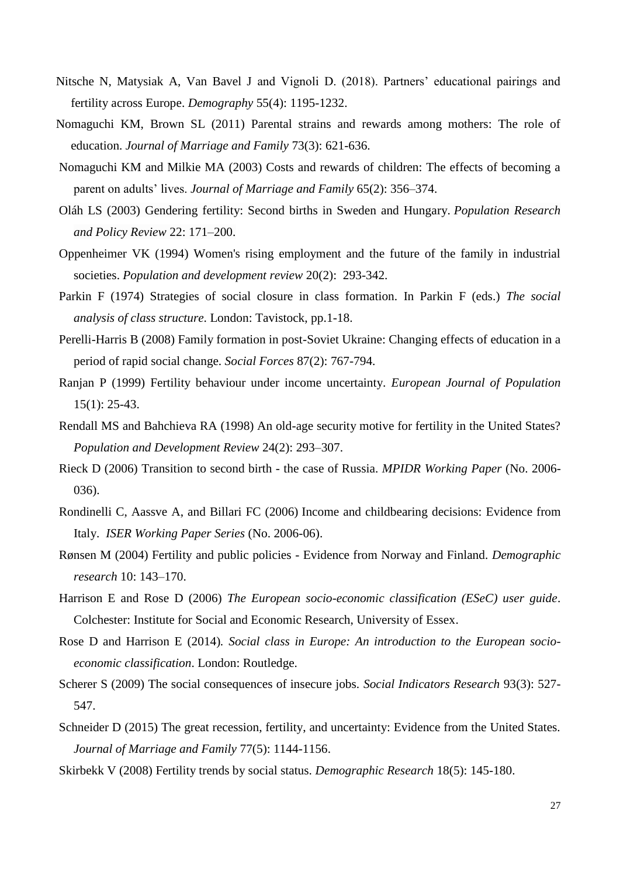- Nitsche N, Matysiak A, Van Bavel J and Vignoli D. (2018). Partners' educational pairings and fertility across Europe. *Demography* 55(4): 1195-1232.
- Nomaguchi KM, Brown SL (2011) Parental strains and rewards among mothers: The role of education. *Journal of Marriage and Family* 73(3): 621-636.
- Nomaguchi KM and Milkie MA (2003) Costs and rewards of children: The effects of becoming a parent on adults' lives. *Journal of Marriage and Family* 65(2): 356–374.
- Oláh LS (2003) Gendering fertility: Second births in Sweden and Hungary. *Population Research and Policy Review* 22: 171–200.
- Oppenheimer VK (1994) Women's rising employment and the future of the family in industrial societies. *Population and development review* 20(2): 293-342.
- Parkin F (1974) Strategies of social closure in class formation. In Parkin F (eds.) *The social analysis of class structure*. London: Tavistock, pp.1-18.
- Perelli-Harris B (2008) Family formation in post-Soviet Ukraine: Changing effects of education in a period of rapid social change. *Social Forces* 87(2): 767-794.
- Ranjan P (1999) Fertility behaviour under income uncertainty. *European Journal of Population* 15(1): 25-43.
- Rendall MS and Bahchieva RA (1998) An old-age security motive for fertility in the United States? *Population and Development Review* 24(2): 293–307.
- Rieck D (2006) Transition to second birth the case of Russia. *MPIDR Working Paper* (No. 2006- 036).
- Rondinelli C, Aassve A, and Billari FC (2006) Income and childbearing decisions: Evidence from Italy. *ISER Working Paper Series* (No. 2006-06).
- Rønsen M (2004) Fertility and public policies Evidence from Norway and Finland. *Demographic research* 10: 143–170.
- Harrison E and Rose D (2006) *The European socio-economic classification (ESeC) user guide*. Colchester: Institute for Social and Economic Research, University of Essex.
- Rose D and Harrison E (2014)*. Social class in Europe: An introduction to the European socioeconomic classification*. London: Routledge.
- Scherer S (2009) The social consequences of insecure jobs. *Social Indicators Research* 93(3): 527- 547.
- Schneider D (2015) The great recession, fertility, and uncertainty: Evidence from the United States. *Journal of Marriage and Family* 77(5): 1144-1156.
- Skirbekk V (2008) Fertility trends by social status. *Demographic Research* 18(5): 145-180.